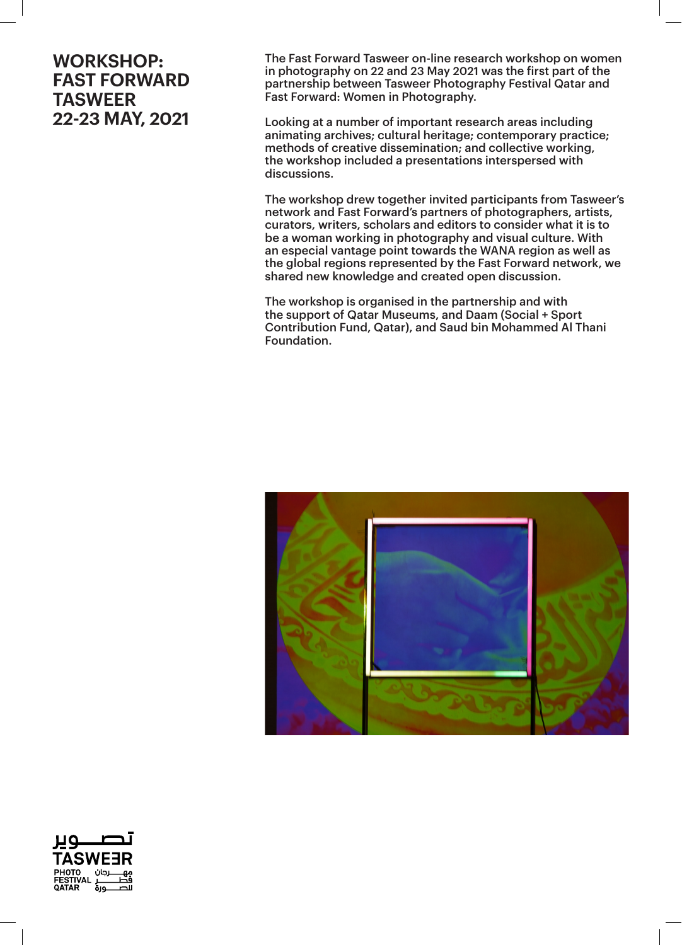The Fast Forward Tasweer on-line research workshop on women in photography on 22 and 23 May 2021 was the first part of the partnership between Tasweer Photography Festival Qatar and Fast Forward: Women in Photography.

Looking at a number of important research areas including animating archives; cultural heritage; contemporary practice; methods of creative dissemination; and collective working, the workshop included a presentations interspersed with discussions.

The workshop drew together invited participants from Tasweer's network and Fast Forward's partners of photographers, artists, curators, writers, scholars and editors to consider what it is to be a woman working in photography and visual culture. With an especial vantage point towards the WANA region as well as the global regions represented by the Fast Forward network, we shared new knowledge and created open discussion.

The workshop is organised in the partnership and with the support of Qatar Museums, and Daam (Social + Sport Contribution Fund, Qatar), and Saud bin Mohammed Al Thani Foundation.



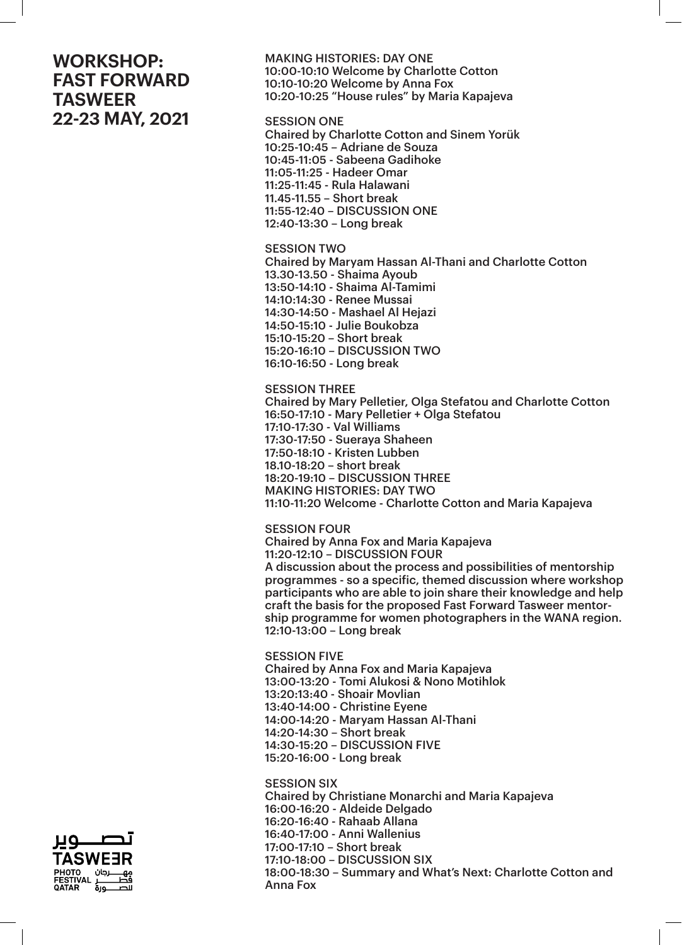MAKING HISTORIES: DAY ONE 10:00-10:10 Welcome by Charlotte Cotton 10:10-10:20 Welcome by Anna Fox 10:20-10:25 "House rules" by Maria Kapajeva

#### SESSION ONE

Chaired by Charlotte Cotton and Sinem Yorük 10:25-10:45 – Adriane de Souza 10:45-11:05 - Sabeena Gadihoke 11:05-11:25 - Hadeer Omar 11:25-11:45 - Rula Halawani 11.45-11.55 – Short break 11:55-12:40 – DISCUSSION ONE 12:40-13:30 – Long break

#### SESSION TWO

Chaired by Maryam Hassan Al-Thani and Charlotte Cotton 13.30-13.50 - Shaima Ayoub 13:50-14:10 - Shaima Al-Tamimi 14:10:14:30 - Renee Mussai 14:30-14:50 - Mashael Al Hejazi 14:50-15:10 - Julie Boukobza 15:10-15:20 – Short break 15:20-16:10 – DISCUSSION TWO 16:10-16:50 - Long break

SESSION THREE

Chaired by Mary Pelletier, Olga Stefatou and Charlotte Cotton 16:50-17:10 - Mary Pelletier + Olga Stefatou 17:10-17:30 - Val Williams 17:30-17:50 - Sueraya Shaheen 17:50-18:10 - Kristen Lubben 18.10-18:20 – short break 18:20-19:10 – DISCUSSION THREE MAKING HISTORIES: DAY TWO 11:10-11:20 Welcome - Charlotte Cotton and Maria Kapajeva

SESSION FOUR

Chaired by Anna Fox and Maria Kapajeva 11:20-12:10 – DISCUSSION FOUR A discussion about the process and possibilities of mentorship programmes - so a specific, themed discussion where workshop participants who are able to join share their knowledge and help craft the basis for the proposed Fast Forward Tasweer mentorship programme for women photographers in the WANA region. 12:10-13:00 – Long break

SESSION FIVE Chaired by Anna Fox and Maria Kapajeva 13:00-13:20 - Tomi Alukosi & Nono Motihlok 13:20:13:40 - Shoair Movlian 13:40-14:00 - Christine Eyene 14:00-14:20 - Maryam Hassan Al-Thani 14:20-14:30 – Short break 14:30-15:20 – DISCUSSION FIVE 15:20-16:00 - Long break

SESSION SIX Chaired by Christiane Monarchi and Maria Kapajeva 16:00-16:20 - Aldeide Delgado 16:20-16:40 - Rahaab Allana 16:40-17:00 - Anni Wallenius 17:00-17:10 – Short break 17:10-18:00 – DISCUSSION SIX 18:00-18:30 – Summary and What's Next: Charlotte Cotton and Anna Fox

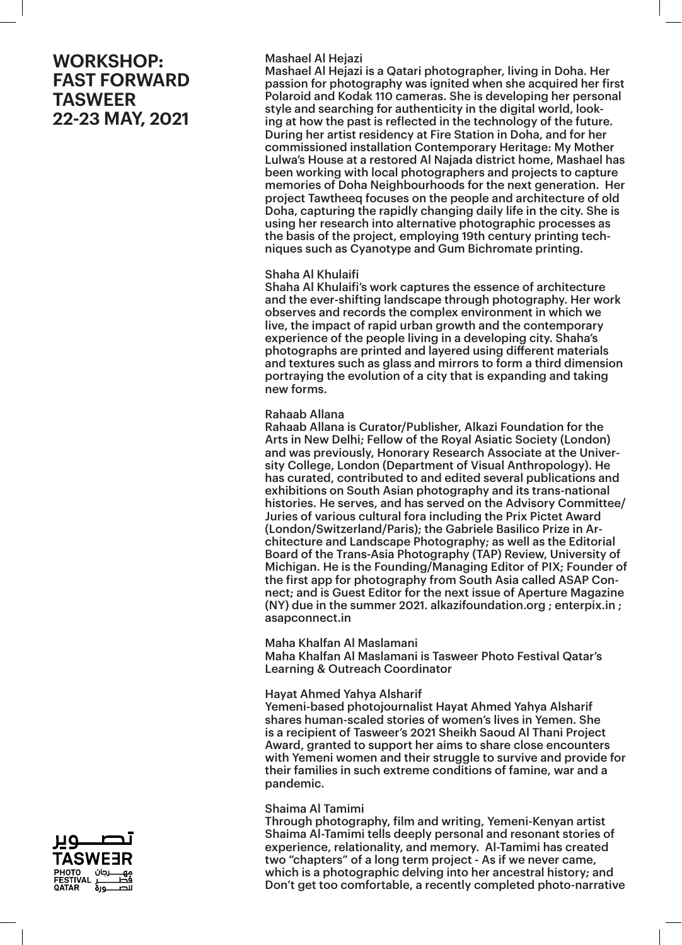### Mashael Al Hejazi

Mashael Al Hejazi is a Qatari photographer, living in Doha. Her passion for photography was ignited when she acquired her first Polaroid and Kodak 110 cameras. She is developing her personal style and searching for authenticity in the digital world, looking at how the past is reflected in the technology of the future. During her artist residency at Fire Station in Doha, and for her commissioned installation Contemporary Heritage: My Mother Lulwa's House at a restored Al Najada district home, Mashael has been working with local photographers and projects to capture memories of Doha Neighbourhoods for the next generation. Her project Tawtheeq focuses on the people and architecture of old Doha, capturing the rapidly changing daily life in the city. She is using her research into alternative photographic processes as the basis of the project, employing 19th century printing techniques such as Cyanotype and Gum Bichromate printing.

### Shaha Al Khulaifi

Shaha Al Khulaifi's work captures the essence of architecture and the ever-shifting landscape through photography. Her work observes and records the complex environment in which we live, the impact of rapid urban growth and the contemporary experience of the people living in a developing city. Shaha's photographs are printed and layered using different materials and textures such as glass and mirrors to form a third dimension portraying the evolution of a city that is expanding and taking new forms.

### Rahaab Allana

Rahaab Allana is Curator/Publisher, Alkazi Foundation for the Arts in New Delhi; Fellow of the Royal Asiatic Society (London) and was previously, Honorary Research Associate at the University College, London (Department of Visual Anthropology). He has curated, contributed to and edited several publications and exhibitions on South Asian photography and its trans-national histories. He serves, and has served on the Advisory Committee/ Juries of various cultural fora including the Prix Pictet Award (London/Switzerland/Paris); the Gabriele Basilico Prize in Architecture and Landscape Photography; as well as the Editorial Board of the Trans-Asia Photography (TAP) Review, University of Michigan. He is the Founding/Managing Editor of PIX; Founder of the first app for photography from South Asia called ASAP Connect; and is Guest Editor for the next issue of Aperture Magazine (NY) due in the summer 2021. alkazifoundation.org ; enterpix.in ; asapconnect.in

#### Maha Khalfan Al Maslamani

Maha Khalfan Al Maslamani is Tasweer Photo Festival Qatar's Learning & Outreach Coordinator

#### Hayat Ahmed Yahya Alsharif

Yemeni-based photojournalist Hayat Ahmed Yahya Alsharif shares human-scaled stories of women's lives in Yemen. She is a recipient of Tasweer's 2021 Sheikh Saoud Al Thani Project Award, granted to support her aims to share close encounters with Yemeni women and their struggle to survive and provide for their families in such extreme conditions of famine, war and a pandemic.

#### Shaima Al Tamimi

Through photography, film and writing, Yemeni-Kenyan artist Shaima Al-Tamimi tells deeply personal and resonant stories of experience, relationality, and memory. Al-Tamimi has created two "chapters" of a long term project - As if we never came, which is a photographic delving into her ancestral history; and Don't get too comfortable, a recently completed photo-narrative

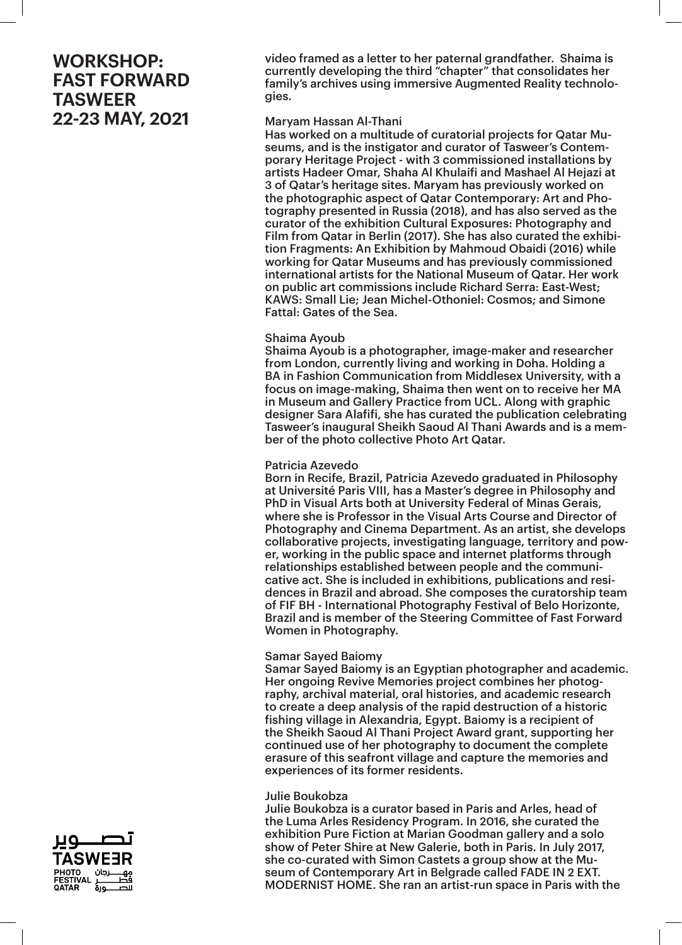video framed as a letter to her paternal grandfather. Shaima is currently developing the third "chapter" that consolidates her family's archives using immersive Augmented Reality technologies.

### Maryam Hassan Al-Thani

Has worked on a multitude of curatorial projects for Qatar Museums, and is the instigator and curator of Tasweer's Contemporary Heritage Project - with 3 commissioned installations by artists Hadeer Omar, Shaha Al Khulaifi and Mashael Al Hejazi at 3 of Qatar's heritage sites. Maryam has previously worked on the photographic aspect of Qatar Contemporary: Art and Photography presented in Russia (2018), and has also served as the curator of the exhibition Cultural Exposures: Photography and Film from Qatar in Berlin (2017). She has also curated the exhibition Fragments: An Exhibition by Mahmoud Obaidi (2016) while working for Qatar Museums and has previously commissioned international artists for the National Museum of Qatar. Her work on public art commissions include Richard Serra: East-West; KAWS: Small Lie; Jean Michel-Othoniel: Cosmos; and Simone Fattal: Gates of the Sea.

### Shaima Ayoub

Shaima Ayoub is a photographer, image-maker and researcher from London, currently living and working in Doha. Holding a BA in Fashion Communication from Middlesex University, with a focus on image-making, Shaima then went on to receive her MA in Museum and Gallery Practice from UCL. Along with graphic designer Sara Alafifi, she has curated the publication celebrating Tasweer's inaugural Sheikh Saoud Al Thani Awards and is a member of the photo collective Photo Art Qatar.

### Patricia Azevedo

Born in Recife, Brazil, Patricia Azevedo graduated in Philosophy at Université Paris VIII, has a Master's degree in Philosophy and PhD in Visual Arts both at University Federal of Minas Gerais, where she is Professor in the Visual Arts Course and Director of Photography and Cinema Department. As an artist, she develops collaborative projects, investigating language, territory and power, working in the public space and internet platforms through relationships established between people and the communicative act. She is included in exhibitions, publications and residences in Brazil and abroad. She composes the curatorship team of FIF BH - International Photography Festival of Belo Horizonte, Brazil and is member of the Steering Committee of Fast Forward Women in Photography.

#### Samar Sayed Baiomy

Samar Sayed Baiomy is an Egyptian photographer and academic. Her ongoing Revive Memories project combines her photography, archival material, oral histories, and academic research to create a deep analysis of the rapid destruction of a historic fishing village in Alexandria, Egypt. Baiomy is a recipient of the Sheikh Saoud Al Thani Project Award grant, supporting her continued use of her photography to document the complete erasure of this seafront village and capture the memories and experiences of its former residents.

#### Julie Boukobza

Julie Boukobza is a curator based in Paris and Arles, head of the Luma Arles Residency Program. In 2016, she curated the exhibition Pure Fiction at Marian Goodman gallery and a solo show of Peter Shire at New Galerie, both in Paris. In July 2017, she co-curated with Simon Castets a group show at the Museum of Contemporary Art in Belgrade called FADE IN 2 EXT. MODERNIST HOME. She ran an artist-run space in Paris with the

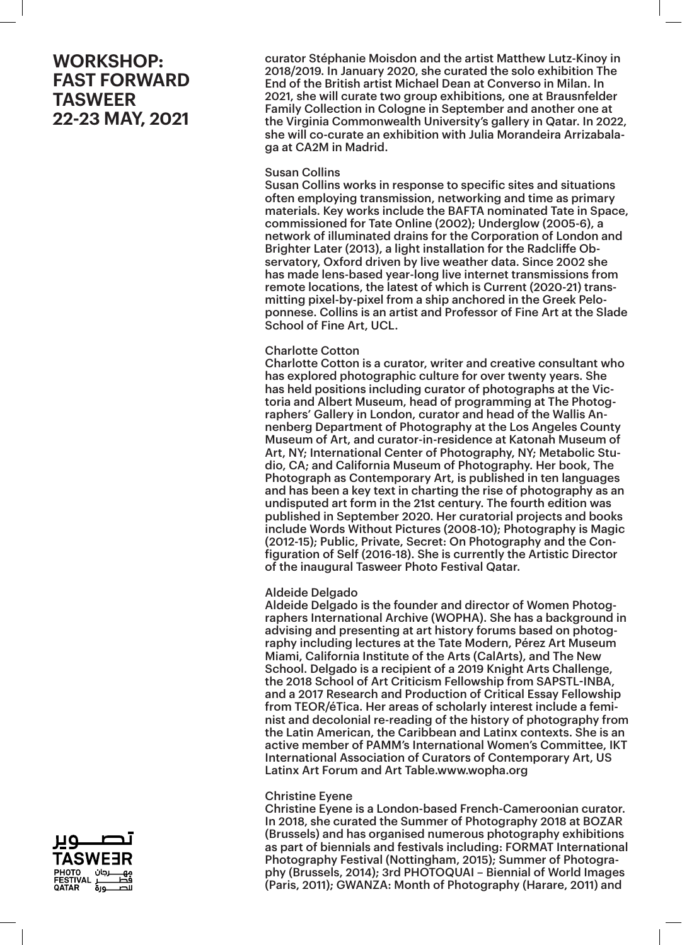curator Stéphanie Moisdon and the artist Matthew Lutz-Kinoy in 2018/2019. In January 2020, she curated the solo exhibition The End of the British artist Michael Dean at Converso in Milan. In 2021, she will curate two group exhibitions, one at Brausnfelder Family Collection in Cologne in September and another one at the Virginia Commonwealth University's gallery in Qatar. In 2022, she will co-curate an exhibition with Julia Morandeira Arrizabalaga at CA2M in Madrid.

### Susan Collins

Susan Collins works in response to specific sites and situations often employing transmission, networking and time as primary materials. Key works include the BAFTA nominated Tate in Space, commissioned for Tate Online (2002); Underglow (2005-6), a network of illuminated drains for the Corporation of London and Brighter Later (2013), a light installation for the Radcliffe Observatory, Oxford driven by live weather data. Since 2002 she has made lens-based year-long live internet transmissions from remote locations, the latest of which is Current (2020-21) transmitting pixel-by-pixel from a ship anchored in the Greek Peloponnese. Collins is an artist and Professor of Fine Art at the Slade School of Fine Art, UCL.

## Charlotte Cotton

Charlotte Cotton is a curator, writer and creative consultant who has explored photographic culture for over twenty years. She has held positions including curator of photographs at the Victoria and Albert Museum, head of programming at The Photographers' Gallery in London, curator and head of the Wallis Annenberg Department of Photography at the Los Angeles County Museum of Art, and curator-in-residence at Katonah Museum of Art, NY; International Center of Photography, NY; Metabolic Studio, CA; and California Museum of Photography. Her book, The Photograph as Contemporary Art, is published in ten languages and has been a key text in charting the rise of photography as an undisputed art form in the 21st century. The fourth edition was published in September 2020. Her curatorial projects and books include Words Without Pictures (2008-10); Photography is Magic (2012-15); Public, Private, Secret: On Photography and the Configuration of Self (2016-18). She is currently the Artistic Director of the inaugural Tasweer Photo Festival Qatar.

## Aldeide Delgado

Aldeide Delgado is the founder and director of Women Photographers International Archive (WOPHA). She has a background in advising and presenting at art history forums based on photography including lectures at the Tate Modern, Pérez Art Museum Miami, California Institute of the Arts (CalArts), and The New School. Delgado is a recipient of a 2019 Knight Arts Challenge, the 2018 School of Art Criticism Fellowship from SAPSTL-INBA, and a 2017 Research and Production of Critical Essay Fellowship from TEOR/éTica. Her areas of scholarly interest include a feminist and decolonial re-reading of the history of photography from the Latin American, the Caribbean and Latinx contexts. She is an active member of PAMM's International Women's Committee, IKT International Association of Curators of Contemporary Art, US Latinx Art Forum and Art Table.www.wopha.org

#### Christine Eyene

Christine Eyene is a London-based French-Cameroonian curator. In 2018, she curated the Summer of Photography 2018 at BOZAR (Brussels) and has organised numerous photography exhibitions as part of biennials and festivals including: FORMAT International Photography Festival (Nottingham, 2015); Summer of Photography (Brussels, 2014); 3rd PHOTOQUAI – Biennial of World Images (Paris, 2011); GWANZA: Month of Photography (Harare, 2011) and

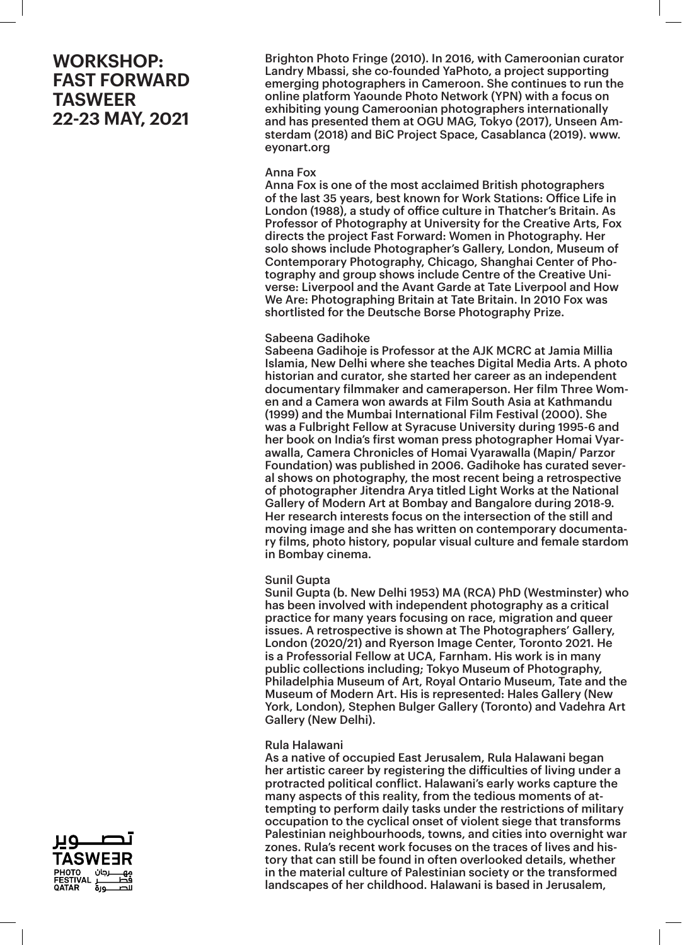Brighton Photo Fringe (2010). In 2016, with Cameroonian curator Landry Mbassi, she co-founded YaPhoto, a project supporting emerging photographers in Cameroon. She continues to run the online platform Yaounde Photo Network (YPN) with a focus on exhibiting young Cameroonian photographers internationally and has presented them at OGU MAG, Tokyo (2017), Unseen Amsterdam (2018) and BiC Project Space, Casablanca (2019). www. eyonart.org

### Anna Fox

Anna Fox is one of the most acclaimed British photographers of the last 35 years, best known for Work Stations: Office Life in London (1988), a study of office culture in Thatcher's Britain. As Professor of Photography at University for the Creative Arts, Fox directs the project Fast Forward: Women in Photography. Her solo shows include Photographer's Gallery, London, Museum of Contemporary Photography, Chicago, Shanghai Center of Photography and group shows include Centre of the Creative Universe: Liverpool and the Avant Garde at Tate Liverpool and How We Are: Photographing Britain at Tate Britain. In 2010 Fox was shortlisted for the Deutsche Borse Photography Prize.

## Sabeena Gadihoke

Sabeena Gadihoje is Professor at the AJK MCRC at Jamia Millia Islamia, New Delhi where she teaches Digital Media Arts. A photo historian and curator, she started her career as an independent documentary filmmaker and cameraperson. Her film Three Women and a Camera won awards at Film South Asia at Kathmandu (1999) and the Mumbai International Film Festival (2000). She was a Fulbright Fellow at Syracuse University during 1995-6 and her book on India's first woman press photographer Homai Vyarawalla, Camera Chronicles of Homai Vyarawalla (Mapin/ Parzor Foundation) was published in 2006. Gadihoke has curated several shows on photography, the most recent being a retrospective of photographer Jitendra Arya titled Light Works at the National Gallery of Modern Art at Bombay and Bangalore during 2018-9. Her research interests focus on the intersection of the still and moving image and she has written on contemporary documentary films, photo history, popular visual culture and female stardom in Bombay cinema.

## Sunil Gupta

Sunil Gupta (b. New Delhi 1953) MA (RCA) PhD (Westminster) who has been involved with independent photography as a critical practice for many years focusing on race, migration and queer issues. A retrospective is shown at The Photographers' Gallery, London (2020/21) and Ryerson Image Center, Toronto 2021. He is a Professorial Fellow at UCA, Farnham. His work is in many public collections including; Tokyo Museum of Photography, Philadelphia Museum of Art, Royal Ontario Museum, Tate and the Museum of Modern Art. His is represented: Hales Gallery (New York, London), Stephen Bulger Gallery (Toronto) and Vadehra Art Gallery (New Delhi).

## Rula Halawani

As a native of occupied East Jerusalem, Rula Halawani began her artistic career by registering the difficulties of living under a protracted political conflict. Halawani's early works capture the many aspects of this reality, from the tedious moments of attempting to perform daily tasks under the restrictions of military occupation to the cyclical onset of violent siege that transforms Palestinian neighbourhoods, towns, and cities into overnight war zones. Rula's recent work focuses on the traces of lives and history that can still be found in often overlooked details, whether in the material culture of Palestinian society or the transformed landscapes of her childhood. Halawani is based in Jerusalem,

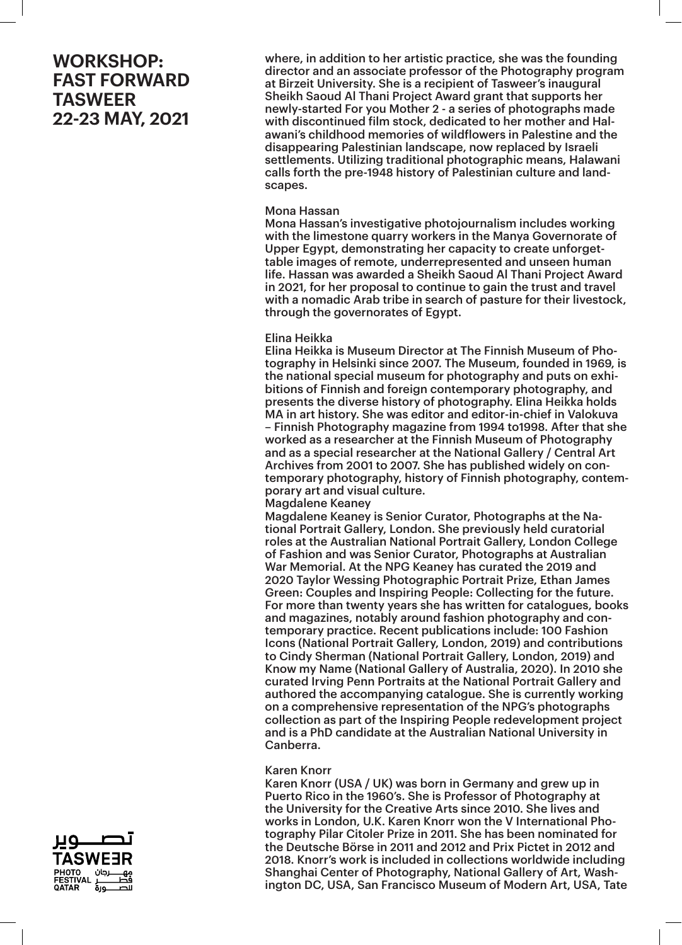where, in addition to her artistic practice, she was the founding director and an associate professor of the Photography program at Birzeit University. She is a recipient of Tasweer's inaugural Sheikh Saoud Al Thani Project Award grant that supports her newly-started For you Mother 2 - a series of photographs made with discontinued film stock, dedicated to her mother and Halawani's childhood memories of wildflowers in Palestine and the disappearing Palestinian landscape, now replaced by Israeli settlements. Utilizing traditional photographic means, Halawani calls forth the pre-1948 history of Palestinian culture and landscapes.

#### Mona Hassan

Mona Hassan's investigative photojournalism includes working with the limestone quarry workers in the Manya Governorate of Upper Egypt, demonstrating her capacity to create unforgettable images of remote, underrepresented and unseen human life. Hassan was awarded a Sheikh Saoud Al Thani Project Award in 2021, for her proposal to continue to gain the trust and travel with a nomadic Arab tribe in search of pasture for their livestock, through the governorates of Egypt.

#### Elina Heikka

Elina Heikka is Museum Director at The Finnish Museum of Photography in Helsinki since 2007. The Museum, founded in 1969, is the national special museum for photography and puts on exhibitions of Finnish and foreign contemporary photography, and presents the diverse history of photography. Elina Heikka holds MA in art history. She was editor and editor-in-chief in Valokuva – Finnish Photography magazine from 1994 to1998. After that she worked as a researcher at the Finnish Museum of Photography and as a special researcher at the National Gallery / Central Art Archives from 2001 to 2007. She has published widely on contemporary photography, history of Finnish photography, contemporary art and visual culture.

Magdalene Keaney

Magdalene Keaney is Senior Curator, Photographs at the National Portrait Gallery, London. She previously held curatorial roles at the Australian National Portrait Gallery, London College of Fashion and was Senior Curator, Photographs at Australian War Memorial. At the NPG Keaney has curated the 2019 and 2020 Taylor Wessing Photographic Portrait Prize, Ethan James Green: Couples and Inspiring People: Collecting for the future. For more than twenty years she has written for catalogues, books and magazines, notably around fashion photography and contemporary practice. Recent publications include: 100 Fashion Icons (National Portrait Gallery, London, 2019) and contributions to Cindy Sherman (National Portrait Gallery, London, 2019) and Know my Name (National Gallery of Australia, 2020). In 2010 she curated Irving Penn Portraits at the National Portrait Gallery and authored the accompanying catalogue. She is currently working on a comprehensive representation of the NPG's photographs collection as part of the Inspiring People redevelopment project and is a PhD candidate at the Australian National University in Canberra.

#### Karen Knorr

Karen Knorr (USA / UK) was born in Germany and grew up in Puerto Rico in the 1960's. She is Professor of Photography at the University for the Creative Arts since 2010. She lives and works in London, U.K. Karen Knorr won the V International Photography Pilar Citoler Prize in 2011. She has been nominated for the Deutsche Börse in 2011 and 2012 and Prix Pictet in 2012 and 2018. Knorr's work is included in collections worldwide including Shanghai Center of Photography, National Gallery of Art, Washington DC, USA, San Francisco Museum of Modern Art, USA, Tate

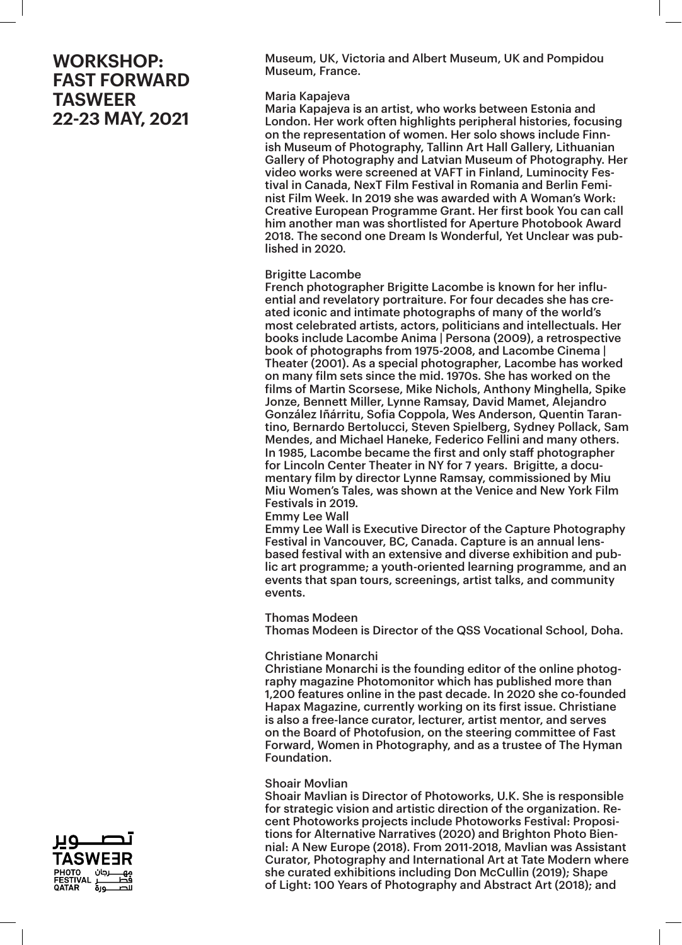Museum, UK, Victoria and Albert Museum, UK and Pompidou Museum, France.

#### Maria Kapajeva

Maria Kapajeva is an artist, who works between Estonia and London. Her work often highlights peripheral histories, focusing on the representation of women. Her solo shows include Finnish Museum of Photography, Tallinn Art Hall Gallery, Lithuanian Gallery of Photography and Latvian Museum of Photography. Her video works were screened at VAFT in Finland, Luminocity Festival in Canada, NexT Film Festival in Romania and Berlin Feminist Film Week. In 2019 she was awarded with A Woman's Work: Creative European Programme Grant. Her first book You can call him another man was shortlisted for Aperture Photobook Award 2018. The second one Dream Is Wonderful, Yet Unclear was published in 2020.

### Brigitte Lacombe

French photographer Brigitte Lacombe is known for her influential and revelatory portraiture. For four decades she has created iconic and intimate photographs of many of the world's most celebrated artists, actors, politicians and intellectuals. Her books include Lacombe Anima | Persona (2009), a retrospective book of photographs from 1975-2008, and Lacombe Cinema | Theater (2001). As a special photographer, Lacombe has worked on many film sets since the mid. 1970s. She has worked on the films of Martin Scorsese, Mike Nichols, Anthony Minghella, Spike Jonze, Bennett Miller, Lynne Ramsay, David Mamet, Alejandro González Iñárritu, Sofia Coppola, Wes Anderson, Quentin Tarantino, Bernardo Bertolucci, Steven Spielberg, Sydney Pollack, Sam Mendes, and Michael Haneke, Federico Fellini and many others. In 1985, Lacombe became the first and only staff photographer for Lincoln Center Theater in NY for 7 years. Brigitte, a documentary film by director Lynne Ramsay, commissioned by Miu Miu Women's Tales, was shown at the Venice and New York Film Festivals in 2019. Emmy Lee Wall

Emmy Lee Wall is Executive Director of the Capture Photography Festival in Vancouver, BC, Canada. Capture is an annual lensbased festival with an extensive and diverse exhibition and public art programme; a youth-oriented learning programme, and an events that span tours, screenings, artist talks, and community events.

## Thomas Modeen

Thomas Modeen is Director of the QSS Vocational School, Doha.

## Christiane Monarchi

Christiane Monarchi is the founding editor of the online photography magazine Photomonitor which has published more than 1,200 features online in the past decade. In 2020 she co-founded Hapax Magazine, currently working on its first issue. Christiane is also a free-lance curator, lecturer, artist mentor, and serves on the Board of Photofusion, on the steering committee of Fast Forward, Women in Photography, and as a trustee of The Hyman Foundation.

## Shoair Movlian

Shoair Mavlian is Director of Photoworks, U.K. She is responsible for strategic vision and artistic direction of the organization. Recent Photoworks projects include Photoworks Festival: Propositions for Alternative Narratives (2020) and Brighton Photo Biennial: A New Europe (2018). From 2011-2018, Mavlian was Assistant Curator, Photography and International Art at Tate Modern where she curated exhibitions including Don McCullin (2019); Shape of Light: 100 Years of Photography and Abstract Art (2018); and

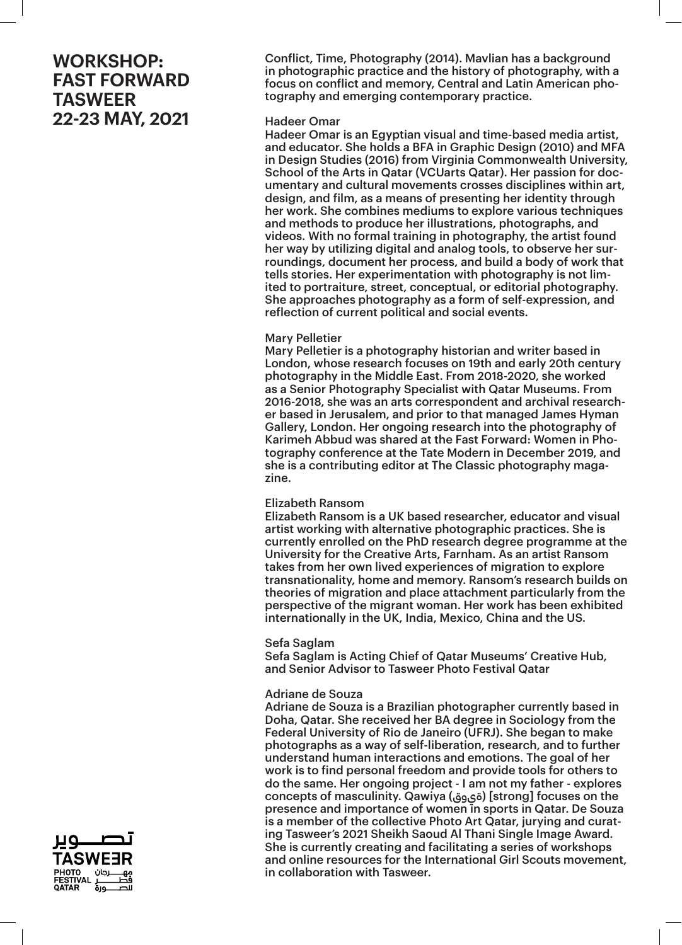Conflict, Time, Photography (2014). Mavlian has a background in photographic practice and the history of photography, with a focus on conflict and memory, Central and Latin American photography and emerging contemporary practice.

#### Hadeer Omar

Hadeer Omar is an Egyptian visual and time-based media artist, and educator. She holds a BFA in Graphic Design (2010) and MFA in Design Studies (2016) from Virginia Commonwealth University, School of the Arts in Qatar (VCUarts Qatar). Her passion for documentary and cultural movements crosses disciplines within art, design, and film, as a means of presenting her identity through her work. She combines mediums to explore various techniques and methods to produce her illustrations, photographs, and videos. With no formal training in photography, the artist found her way by utilizing digital and analog tools, to observe her surroundings, document her process, and build a body of work that tells stories. Her experimentation with photography is not limited to portraiture, street, conceptual, or editorial photography. She approaches photography as a form of self-expression, and reflection of current political and social events.

## Mary Pelletier

Mary Pelletier is a photography historian and writer based in London, whose research focuses on 19th and early 20th century photography in the Middle East. From 2018-2020, she worked as a Senior Photography Specialist with Qatar Museums. From 2016-2018, she was an arts correspondent and archival researcher based in Jerusalem, and prior to that managed James Hyman Gallery, London. Her ongoing research into the photography of Karimeh Abbud was shared at the Fast Forward: Women in Photography conference at the Tate Modern in December 2019, and she is a contributing editor at The Classic photography magazine.

## Elizabeth Ransom

Elizabeth Ransom is a UK based researcher, educator and visual artist working with alternative photographic practices. She is currently enrolled on the PhD research degree programme at the University for the Creative Arts, Farnham. As an artist Ransom takes from her own lived experiences of migration to explore transnationality, home and memory. Ransom's research builds on theories of migration and place attachment particularly from the perspective of the migrant woman. Her work has been exhibited internationally in the UK, India, Mexico, China and the US.

#### Sefa Saglam

Sefa Saglam is Acting Chief of Qatar Museums' Creative Hub, and Senior Advisor to Tasweer Photo Festival Qatar

#### Adriane de Souza

Adriane de Souza is a Brazilian photographer currently based in Doha, Qatar. She received her BA degree in Sociology from the Federal University of Rio de Janeiro (UFRJ). She began to make photographs as a way of self-liberation, research, and to further understand human interactions and emotions. The goal of her work is to find personal freedom and provide tools for others to do the same. Her ongoing project - I am not my father - explores concepts of masculinity. Qawiya (ةيوق] (strong] focuses on the presence and importance of women in sports in Qatar. De Souza is a member of the collective Photo Art Qatar, jurying and curating Tasweer's 2021 Sheikh Saoud Al Thani Single Image Award. She is currently creating and facilitating a series of workshops and online resources for the International Girl Scouts movement, in collaboration with Tasweer.

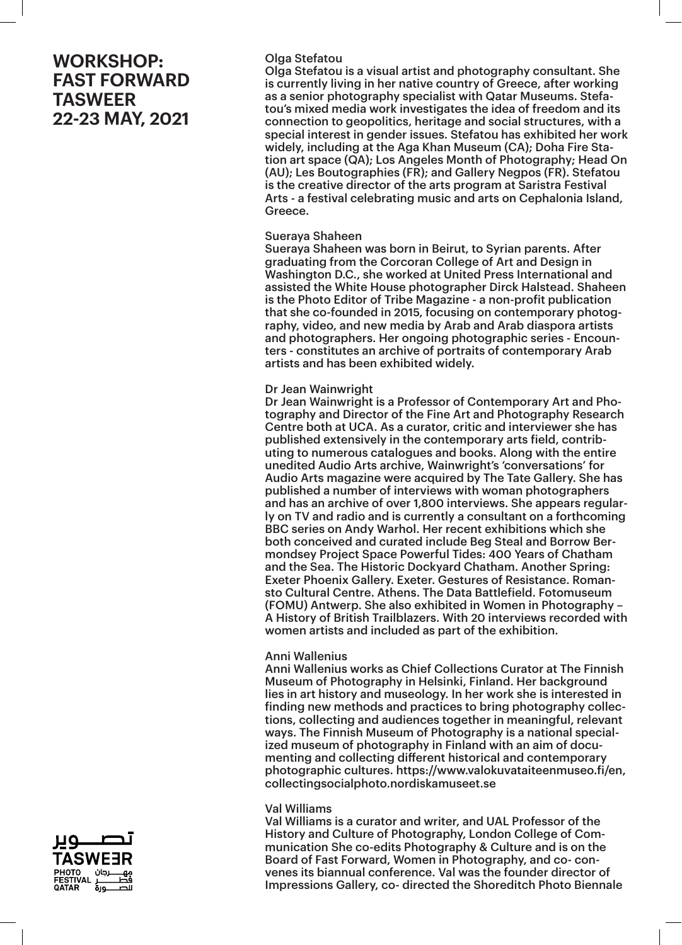## Olga Stefatou

Olga Stefatou is a visual artist and photography consultant. She is currently living in her native country of Greece, after working as a senior photography specialist with Qatar Museums. Stefatou's mixed media work investigates the idea of freedom and its connection to geopolitics, heritage and social structures, with a special interest in gender issues. Stefatou has exhibited her work widely, including at the Aga Khan Museum (CA); Doha Fire Station art space (QA); Los Angeles Month of Photography; Head On (AU); Les Boutographies (FR); and Gallery Negpos (FR). Stefatou is the creative director of the arts program at Saristra Festival Arts - a festival celebrating music and arts on Cephalonia Island, Greece.

#### Sueraya Shaheen

Sueraya Shaheen was born in Beirut, to Syrian parents. After graduating from the Corcoran College of Art and Design in Washington D.C., she worked at United Press International and assisted the White House photographer Dirck Halstead. Shaheen is the Photo Editor of Tribe Magazine - a non-profit publication that she co-founded in 2015, focusing on contemporary photography, video, and new media by Arab and Arab diaspora artists and photographers. Her ongoing photographic series - Encounters - constitutes an archive of portraits of contemporary Arab artists and has been exhibited widely.

### Dr Jean Wainwright

Dr Jean Wainwright is a Professor of Contemporary Art and Photography and Director of the Fine Art and Photography Research Centre both at UCA. As a curator, critic and interviewer she has published extensively in the contemporary arts field, contributing to numerous catalogues and books. Along with the entire unedited Audio Arts archive, Wainwright's 'conversations' for Audio Arts magazine were acquired by The Tate Gallery. She has published a number of interviews with woman photographers and has an archive of over 1,800 interviews. She appears regularly on TV and radio and is currently a consultant on a forthcoming BBC series on Andy Warhol. Her recent exhibitions which she both conceived and curated include Beg Steal and Borrow Bermondsey Project Space Powerful Tides: 400 Years of Chatham and the Sea. The Historic Dockyard Chatham. Another Spring: Exeter Phoenix Gallery. Exeter. Gestures of Resistance. Romansto Cultural Centre. Athens. The Data Battlefield. Fotomuseum (FOMU) Antwerp. She also exhibited in Women in Photography – A History of British Trailblazers. With 20 interviews recorded with women artists and included as part of the exhibition.

#### Anni Wallenius

Anni Wallenius works as Chief Collections Curator at The Finnish Museum of Photography in Helsinki, Finland. Her background lies in art history and museology. In her work she is interested in finding new methods and practices to bring photography collections, collecting and audiences together in meaningful, relevant ways. The Finnish Museum of Photography is a national specialized museum of photography in Finland with an aim of documenting and collecting different historical and contemporary photographic cultures. https://www.valokuvataiteenmuseo.fi/en, collectingsocialphoto.nordiskamuseet.se

#### Val Williams

Val Williams is a curator and writer, and UAL Professor of the History and Culture of Photography, London College of Communication She co-edits Photography & Culture and is on the Board of Fast Forward, Women in Photography, and co- convenes its biannual conference. Val was the founder director of Impressions Gallery, co- directed the Shoreditch Photo Biennale